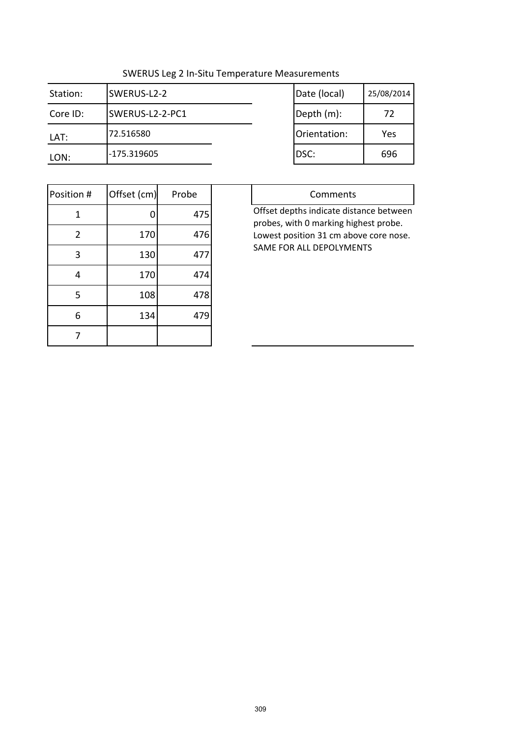| Station: | SWERUS-L2-2     | Date (local) | 25/08/2014 |
|----------|-----------------|--------------|------------|
| Core ID: | SWERUS-L2-2-PC1 | Depth (m):   | 72         |
| LAT:     | 72.516580       | Orientation: | Yes        |
| LON:     | -175.319605     | IDSC:        | 696        |

| Date (local) | 25/08/2014 |
|--------------|------------|
| Depth (m):   | 72         |
| Orientation: | Yes        |
| DSC:         | 696        |

| Position #     | Offset (cm) | Probe |
|----------------|-------------|-------|
| 1              | 0           | 475   |
| $\overline{2}$ | 170         | 476   |
| 3              | 130         | 477   |
| $\overline{4}$ | 170         | 474   |
| 5              | 108         | 478   |
| 6              | 134         | 479   |
|                |             |       |

| Comments                                |
|-----------------------------------------|
| Offset depths indicate distance between |
| probes, with 0 marking highest probe.   |
| Lowest position 31 cm above core nose.  |
| SAME FOR ALL DEPOLYMENTS                |
|                                         |
|                                         |
|                                         |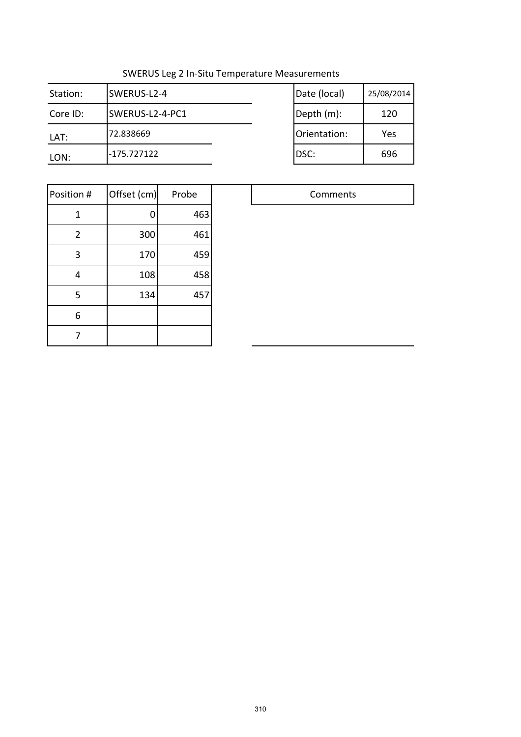| Station: | SWERUS-L2-4     | Date (local) | 25/08/2014 |
|----------|-----------------|--------------|------------|
| Core ID: | SWERUS-L2-4-PC1 | Depth (m):   | 120        |
| LAT:     | 72.838669       | Orientation: | Yes        |
| LON:     | $-175.727122$   | DSC:         | 696        |

| Date (local) | 25/08/2014 |
|--------------|------------|
| Depth (m):   | 120        |
| Orientation: | Yes        |
| DSC:         | 696        |

| Position #     | Offset (cm) | Probe |  |
|----------------|-------------|-------|--|
| 1              | 0           | 463   |  |
| $\overline{2}$ | 300         | 461   |  |
| 3              | 170         | 459   |  |
| 4              | 108         | 458   |  |
| 5              | 134         | 457   |  |
| 6              |             |       |  |
|                |             |       |  |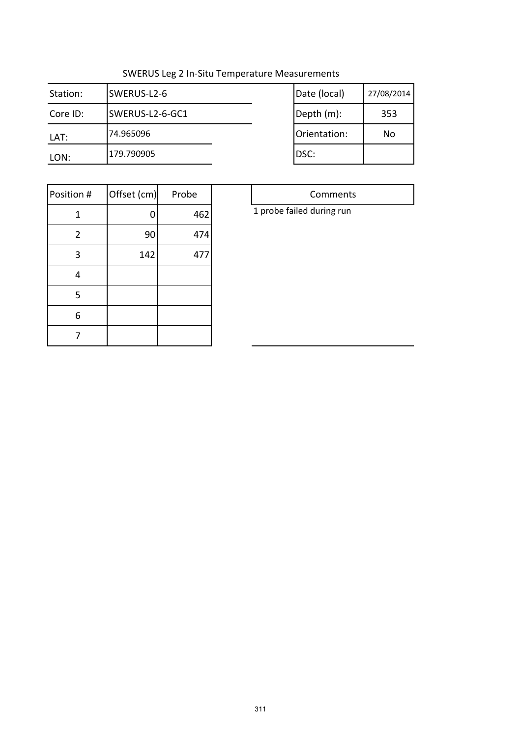| Station: | SWERUS-L2-6     | Date (local) | 27/08/2014 |
|----------|-----------------|--------------|------------|
| Core ID: | SWERUS-L2-6-GC1 | Depth (m):   | 353        |
| LAT:     | 74.965096       | Orientation: | No         |
| LON:     | 179.790905      | DSC:         |            |

| Date (local) | 27/08/2014 |
|--------------|------------|
| Depth (m):   | 353        |
| Orientation: | N٥         |
| DSC:         |            |

| Position #     | Offset (cm) | Probe |
|----------------|-------------|-------|
| 1              | 0           | 462   |
| $\overline{2}$ | 90          | 474   |
| 3              | 142         | 477   |
| 4              |             |       |
| 5              |             |       |
| 6              |             |       |
|                |             |       |

| 1 probe failed during run |  |
|---------------------------|--|
|---------------------------|--|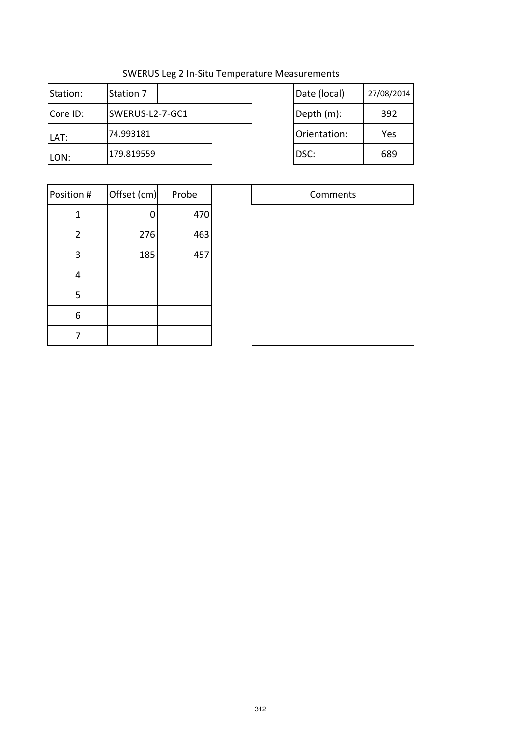| Station: | <b>Station 7</b> | Date (local) | 27/08/2014 |
|----------|------------------|--------------|------------|
| Core ID: | SWERUS-L2-7-GC1  | Depth (m):   | 392        |
| LAT:     | 74.993181        | Orientation: | Yes        |
| LON:     | 179.819559       | DSC:         | 689        |

| Date (local) | 27/08/2014 |
|--------------|------------|
| Depth (m):   | 392        |
| Orientation: | Yes        |
| DSC:         | 689        |

| Position #     | Offset (cm) | Probe |  |
|----------------|-------------|-------|--|
| 1              | U           | 470   |  |
| $\overline{2}$ | 276         | 463   |  |
| 3              | 185         | 457   |  |
| 4              |             |       |  |
| 5              |             |       |  |
| 6              |             |       |  |
|                |             |       |  |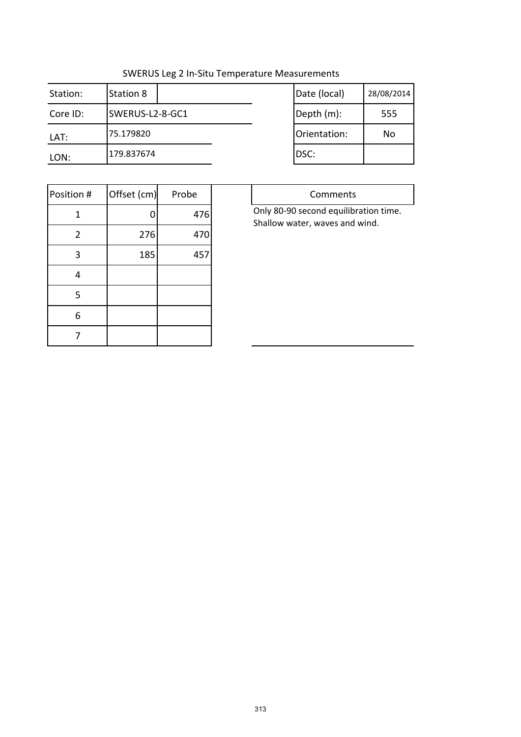Τ

| Station: | Station 8       | Date (local) | 28/08/2014 |
|----------|-----------------|--------------|------------|
| Core ID: | SWERUS-L2-8-GC1 | Depth (m):   | 555        |
| LAT:     | 75.179820       | Orientation: | No         |
| LON:     | 179.837674      | DSC:         |            |

| Date (local) | 28/08/2014 |
|--------------|------------|
| Depth (m):   | 555        |
| Orientation: | N٥         |
| DSC:         |            |

| Position #     | Offset (cm) | Probe |
|----------------|-------------|-------|
| 1              |             | 476   |
| $\overline{2}$ | 276         | 470   |
| 3              | 185         | 457   |
| 4              |             |       |
| 5              |             |       |
| 6              |             |       |
|                |             |       |

| Only 80-90 second equilibration time. |
|---------------------------------------|
|                                       |
|                                       |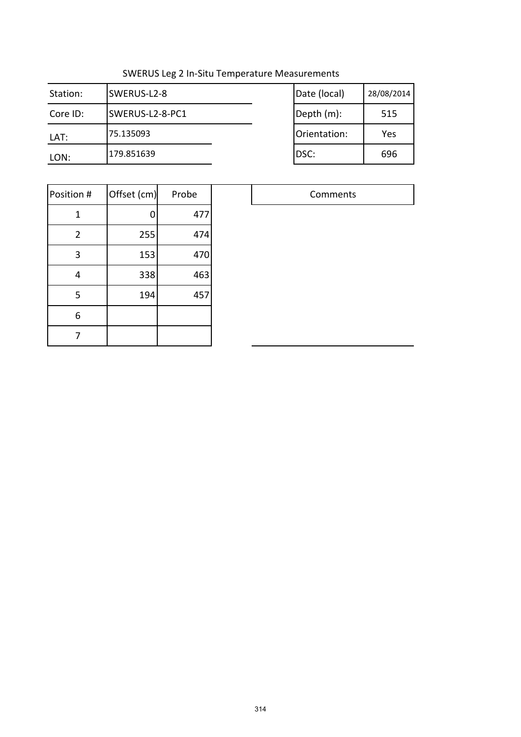| Station: | SWERUS-L2-8     | Date (local) | 28/08/2014 |
|----------|-----------------|--------------|------------|
| Core ID: | SWERUS-L2-8-PC1 | Depth (m):   | 515        |
| LAT:     | 75.135093       | Orientation: | Yes        |
| LON:     | 179.851639      | DSC:         | 696        |

| Date (local) | 28/08/2014 |
|--------------|------------|
| Depth (m):   | 515        |
| Orientation: | Yes        |
| DSC:         | 696        |

| Position #     | Offset (cm) | Probe |
|----------------|-------------|-------|
| 1              |             | 477   |
| $\overline{2}$ | 255         | 474   |
| 3              | 153         | 470   |
| 4              | 338         | 463   |
| 5              | 194         | 457   |
| 6              |             |       |
|                |             |       |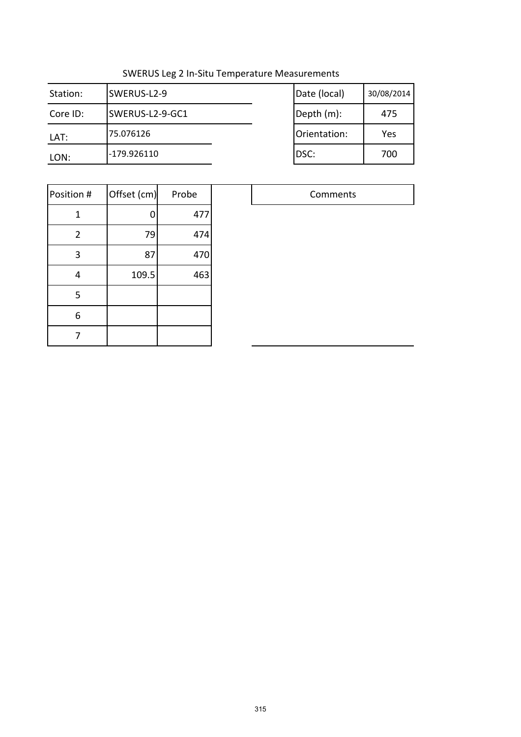| Station: | SWERUS-L2-9     | Date (local) | 30/08/2014 |
|----------|-----------------|--------------|------------|
| Core ID: | SWERUS-L2-9-GC1 | Depth (m):   | 475        |
| LAT:     | 75.076126       | Orientation: | Yes        |
| LON:     | -179.926110     | DSC:         | 700        |

| Date (local) | 30/08/2014 |
|--------------|------------|
| Depth (m):   | 475        |
| Orientation: | Yes        |
| DSC:         | 700        |

| Position #     | Offset (cm) | Probe |  |
|----------------|-------------|-------|--|
| 1              | 0           | 477   |  |
| $\overline{2}$ | 79          | 474   |  |
| 3              | 87          | 470   |  |
| 4              | 109.5       | 463   |  |
| 5              |             |       |  |
| 6              |             |       |  |
|                |             |       |  |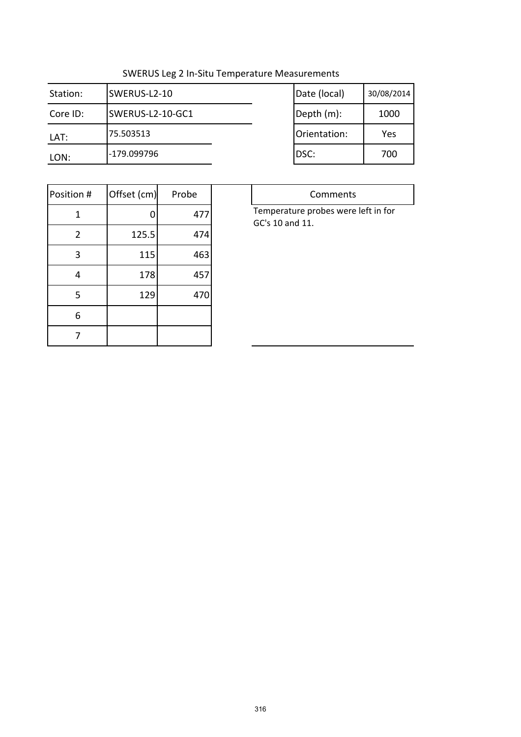$\overline{\phantom{a}}$ 

| Station: | SWERUS-L2-10     | Date (local) | 30/08/2014 |
|----------|------------------|--------------|------------|
| Core ID: | SWERUS-L2-10-GC1 | Depth (m):   | 1000       |
| LAT:     | 75.503513        | Orientation: | Yes        |
| LON:     | -179.099796      | IDSC:        | 700        |

| Date (local) | 30/08/2014 |
|--------------|------------|
| Depth (m):   | 1000       |
| Orientation: | Yes        |
| DSC:         | 700        |

| Position #     | Offset (cm) | Probe |
|----------------|-------------|-------|
| 1              | 0           | 477   |
| $\overline{2}$ | 125.5       | 474   |
| 3              | 115         | 463   |
| 4              | 178         | 457   |
| 5              | 129         | 470   |
| 6              |             |       |
|                |             |       |

| Comments                            |
|-------------------------------------|
| Temperature probes were left in for |
| GC's 10 and 11.                     |
|                                     |
|                                     |
|                                     |
|                                     |
|                                     |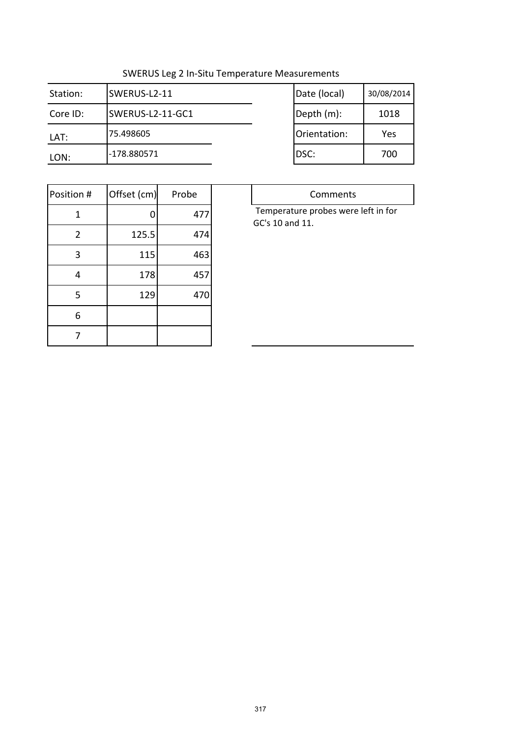| Station: | SWERUS-L2-11     | Date (local) | 30/08/2014 |
|----------|------------------|--------------|------------|
| Core ID: | SWERUS-L2-11-GC1 | Depth (m):   | 1018       |
| LAT:     | 75.498605        | Orientation: | Yes        |
| LON:     | -178.880571      | IDSC:        | 700        |

| Date (local) | 30/08/2014 |
|--------------|------------|
| Depth (m):   | 1018       |
| Orientation: | Yes        |
| DSC:         | 700        |

| Position #     | Offset (cm) | Probe |
|----------------|-------------|-------|
| 1              | 0           | 477   |
| $\overline{2}$ | 125.5       | 474   |
| 3              | 115         | 463   |
| 4              | 178         | 457   |
| 5              | 129         | 470   |
| 6              |             |       |
|                |             |       |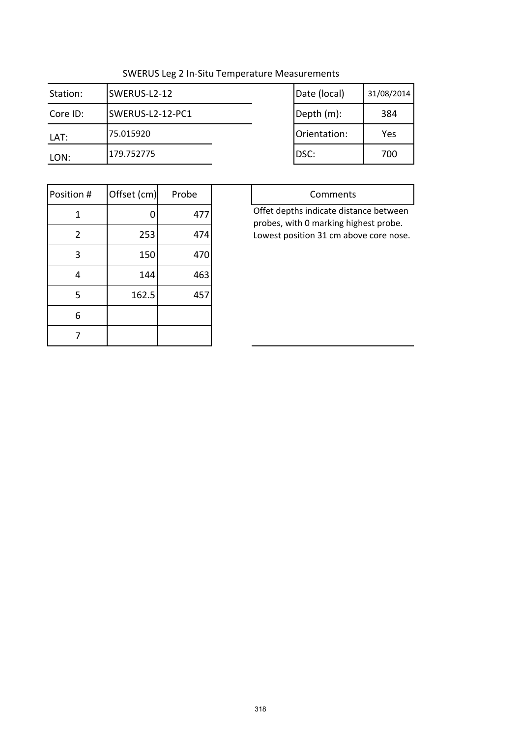| Station: | SWERUS-L2-12     | Date (local) | 31/08/2014 |
|----------|------------------|--------------|------------|
| Core ID: | SWERUS-L2-12-PC1 | Depth (m):   | 384        |
| LAT:     | 175.015920       | Orientation: | Yes        |
| LON:     | 179.752775       | IDSC:        | 700        |

| Date (local) | 31/08/2014 |
|--------------|------------|
| Depth (m):   | 384        |
| Orientation: | Yes        |
| DSC:         | 700        |

| Position # | Offset (cm) | Probe |
|------------|-------------|-------|
| 1          | 0           | 477   |
| 2          | 253         | 474   |
| 3          | 150         | 470   |
| 4          | 144         | 463   |
| 5          | 162.5       | 457   |
| 6          |             |       |
|            |             |       |

| Comments                                                                        |
|---------------------------------------------------------------------------------|
| Offet depths indicate distance between                                          |
| probes, with 0 marking highest probe.<br>Lowest position 31 cm above core nose. |
|                                                                                 |
|                                                                                 |
|                                                                                 |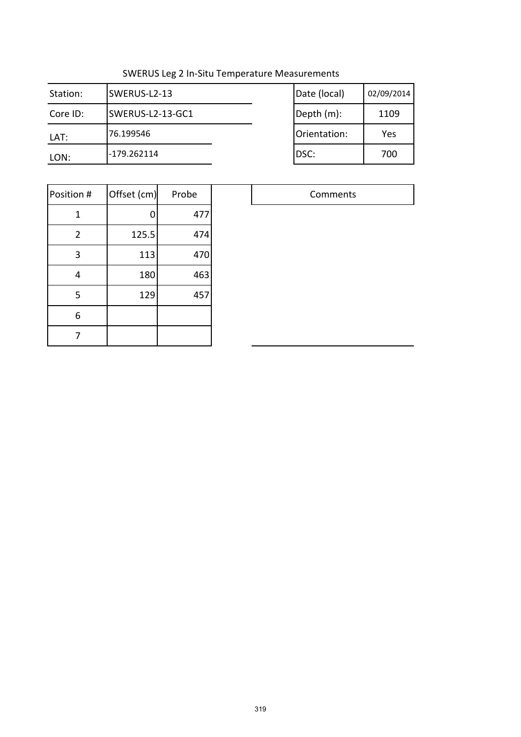| Station: | SWERUS-L2-13     | Date (local) | 02/09/2014 |
|----------|------------------|--------------|------------|
| Core ID: | SWERUS-L2-13-GC1 | Depth (m):   | 1109       |
| LAT:     | 76.199546        | Orientation: | Yes        |
| LON:     | -179.262114      | DSC:         | 700        |

| Date (local) | 02/09/2014 |
|--------------|------------|
| Depth (m):   | 1109       |
| Orientation: | Yes        |
| DSC:         | 700        |

| Position #     | Offset (cm) | Probe |
|----------------|-------------|-------|
| 1              | 0           | 477   |
| $\overline{2}$ | 125.5       | 474   |
| 3              | 113         | 470   |
| 4              | 180         | 463   |
| 5              | 129         | 457   |
| 6              |             |       |
|                |             |       |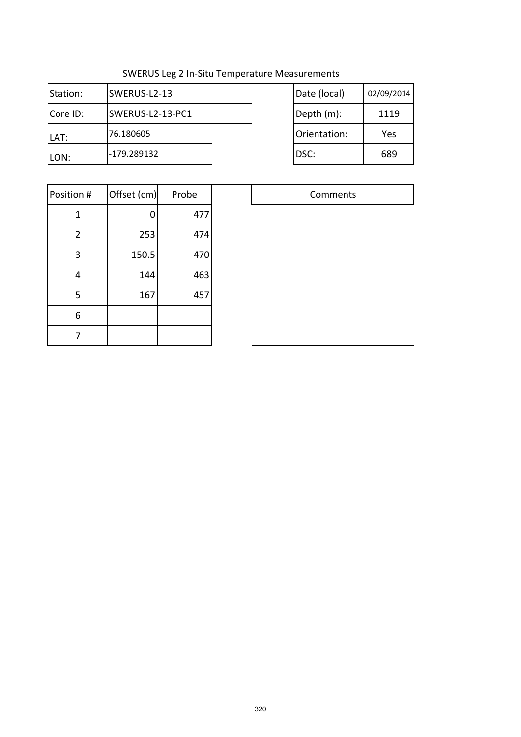| Station: | SWERUS-L2-13     | Date (local) | 02/09/2014 |
|----------|------------------|--------------|------------|
| Core ID: | SWERUS-L2-13-PC1 | Depth (m):   | 1119       |
| LAT:     | 76.180605        | Orientation: | Yes        |
| LON:     | -179.289132      | DSC:         | 689        |

| Date (local) | 02/09/2014 |
|--------------|------------|
|              |            |
| Depth (m):   | 1119       |
|              |            |
| Orientation: | Yes        |
| DSC:         | 689        |
|              |            |

| Position #     | Offset (cm) | Probe |  |
|----------------|-------------|-------|--|
| 1              | 0           | 477   |  |
| $\overline{2}$ | 253         | 474   |  |
| 3              | 150.5       | 470   |  |
| 4              | 144         | 463   |  |
| 5              | 167         | 457   |  |
| 6              |             |       |  |
|                |             |       |  |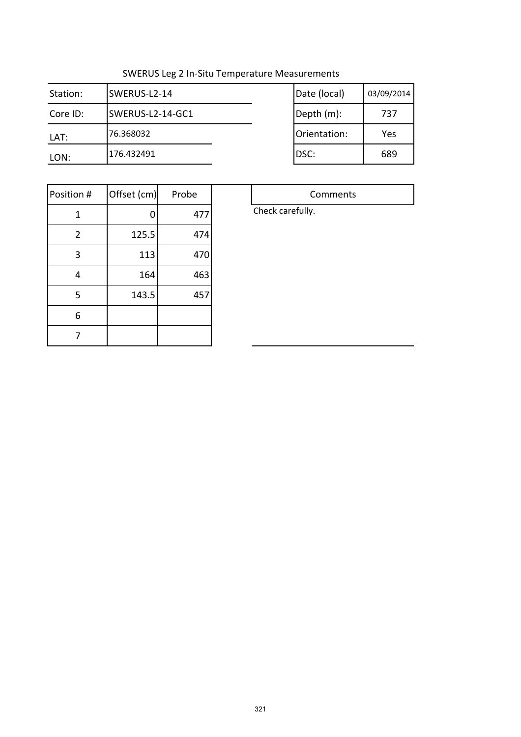| Station: | SWERUS-L2-14     | Date (local) | 03/09/2014 |
|----------|------------------|--------------|------------|
| Core ID: | SWERUS-L2-14-GC1 | Depth (m):   | 737        |
| LAT:     | 76.368032        | Orientation: | Yes        |
| LON:     | 176.432491       | DSC:         | 689        |

| Date (local) | 03/09/2014 |
|--------------|------------|
| Depth (m):   | 737        |
| Orientation: | Yes        |
| DSC:         | 689        |

| Position #     | Offset (cm) | Probe |
|----------------|-------------|-------|
| 1              | 0           | 477   |
| $\overline{2}$ | 125.5       | 474   |
| 3              | 113         | 470   |
| 4              | 164         | 463   |
| 5              | 143.5       | 457   |
| 6              |             |       |
|                |             |       |

Comments Check carefully.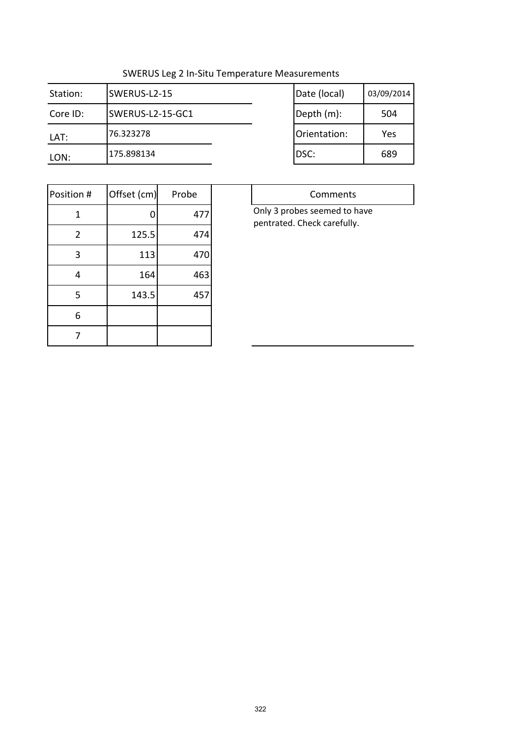$\top$ 

| Station: | SWERUS-L2-15     | Date (local) | 03/09/2014 |
|----------|------------------|--------------|------------|
| Core ID: | SWERUS-L2-15-GC1 | Depth (m):   | 504        |
| LAT:     | 76.323278        | Orientation: | Yes        |
| LON:     | 175.898134       | DSC:         | 689        |

|              | 03/09/2014 |
|--------------|------------|
| Date (local) |            |
| Depth (m):   | 504        |
| Orientation: | Yes        |
| DSC:         | 689        |

| Position #     | Offset (cm) | Probe |
|----------------|-------------|-------|
| 1              | 0           | 477   |
| $\overline{2}$ | 125.5       | 474   |
| 3              | 113         | 470   |
| 4              | 164         | 463   |
| 5              | 143.5       | 457   |
| 6              |             |       |
|                |             |       |

| Comments                     |  |  |
|------------------------------|--|--|
| Only 3 probes seemed to have |  |  |
| pentrated. Check carefully.  |  |  |
|                              |  |  |
|                              |  |  |
|                              |  |  |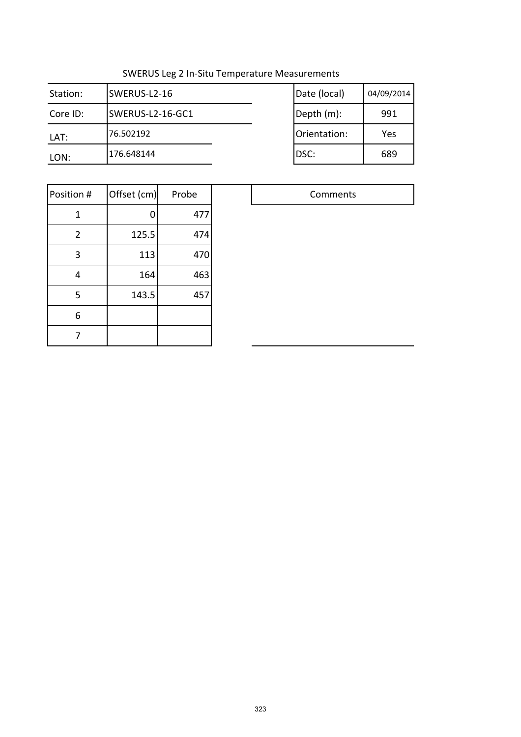| Station: | SWERUS-L2-16     | Date (local) | 04/09/2014 |
|----------|------------------|--------------|------------|
| Core ID: | SWERUS-L2-16-GC1 | Depth (m):   | 991        |
| LAT:     | 76.502192        | Orientation: | Yes        |
| LON:     | 176.648144       | DSC:         | 689        |

| Date (local) | 04/09/2014 |
|--------------|------------|
| Depth (m):   | 991        |
| Orientation: | Yes        |
| DSC:         | 689        |

| Position #     | Offset (cm) | Probe |  |
|----------------|-------------|-------|--|
| 1              |             | 477   |  |
| $\overline{2}$ | 125.5       | 474   |  |
| 3              | 113         | 470   |  |
| 4              | 164         | 463   |  |
| 5              | 143.5       | 457   |  |
| 6              |             |       |  |
|                |             |       |  |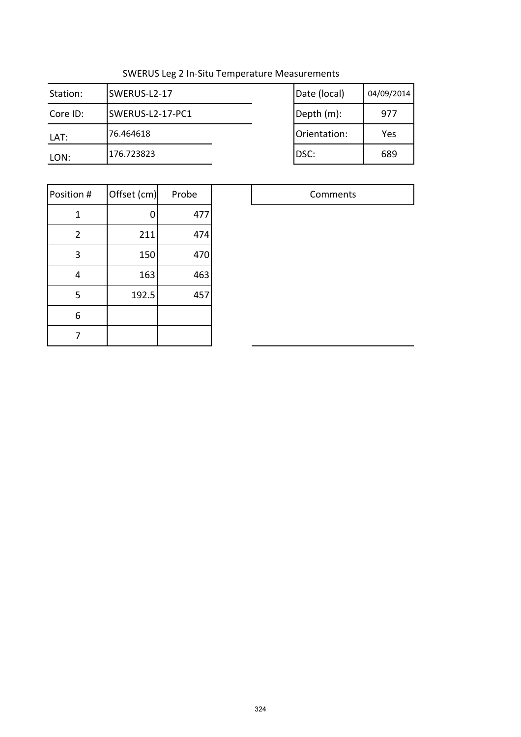| Station: | SWERUS-L2-17     | Date (local) | 04/09/2014 |
|----------|------------------|--------------|------------|
| Core ID: | SWERUS-L2-17-PC1 | Depth (m):   | 977        |
| LAT:     | 76.464618        | Orientation: | Yes        |
| LON:     | 176.723823       | DSC:         | 689        |

| Date (local) | 04/09/2014 |
|--------------|------------|
| Depth (m):   | 977        |
| Orientation: | Yes        |
| DSC:         | 689        |

| Position #     | Offset (cm) | Probe |
|----------------|-------------|-------|
| 1              | 0           | 477   |
| $\overline{2}$ | 211         | 474   |
| 3              | 150         | 470   |
| 4              | 163         | 463   |
| 5              | 192.5       | 457   |
| 6              |             |       |
|                |             |       |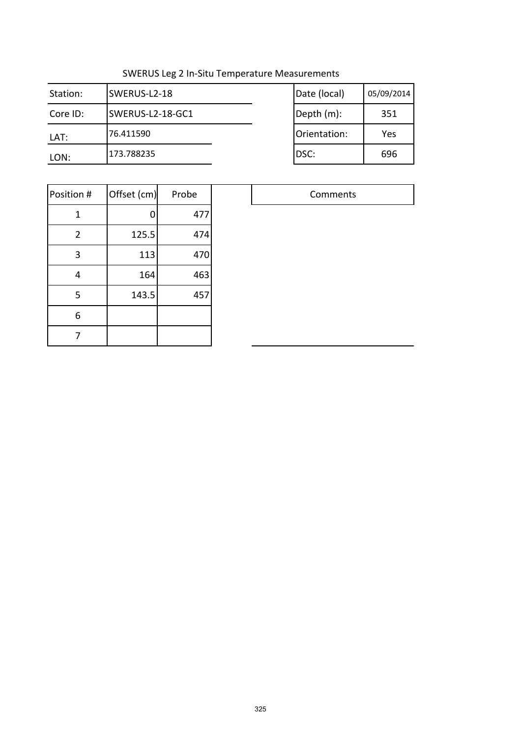| Station: | SWERUS-L2-18     | Date (local) | 05/09/2014 |
|----------|------------------|--------------|------------|
| Core ID: | SWERUS-L2-18-GC1 | Depth (m):   | 351        |
| LAT:     | 76.411590        | Orientation: | Yes        |
| LON:     | 173.788235       | DSC:         | 696        |

| Date (local) | 05/09/2014 |
|--------------|------------|
| Depth (m):   | 351        |
| Orientation: | Yes        |
| DSC:         | 696        |

| Position #     | Offset (cm) | Probe |  |
|----------------|-------------|-------|--|
| 1              | 0           | 477   |  |
| $\overline{2}$ | 125.5       | 474   |  |
| 3              | 113         | 470   |  |
| 4              | 164         | 463   |  |
| 5              | 143.5       | 457   |  |
| 6              |             |       |  |
|                |             |       |  |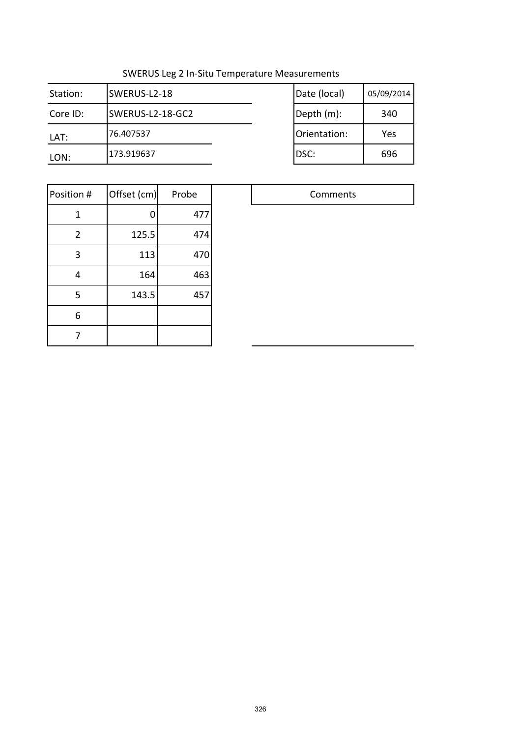| Station: | SWERUS-L2-18     | Date (local) | 05/09/2014 |
|----------|------------------|--------------|------------|
| Core ID: | SWERUS-L2-18-GC2 | Depth (m):   | 340        |
| LAT:     | 76.407537        | Orientation: | Yes        |
| LON:     | 173.919637       | DSC:         | 696        |

| Date (local) | 05/09/2014 |
|--------------|------------|
| Depth (m):   | 340        |
| Orientation: | Yes        |
| DSC:         | 696        |

| Position #     | Offset (cm) | Probe |
|----------------|-------------|-------|
| 1              |             | 477   |
| $\overline{2}$ | 125.5       | 474   |
| 3              | 113         | 470   |
| $\overline{4}$ | 164         | 463   |
| 5              | 143.5       | 457   |
| 6              |             |       |
|                |             |       |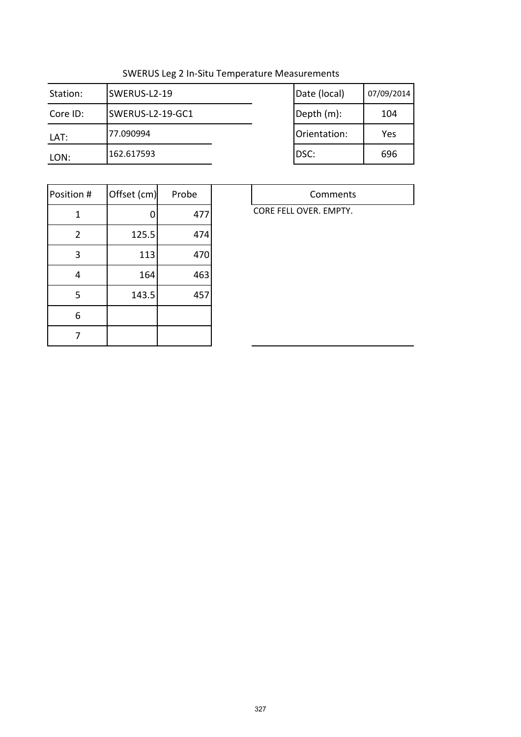$\overline{\phantom{a}}$ 

| Station: | SWERUS-L2-19     | Date (local) | 07/09/2014 |
|----------|------------------|--------------|------------|
| Core ID: | SWERUS-L2-19-GC1 | Depth (m):   | 104        |
| LAT:     | 77.090994        | Orientation: | Yes        |
| LON:     | 162.617593       | DSC:         | 696        |

| Date (local) | 07/09/2014 |
|--------------|------------|
| Depth (m):   | 104        |
| Orientation: | Yes        |
| DSC:         | 696        |

| Position #     | Offset (cm) | Probe |
|----------------|-------------|-------|
| 1              | 0           | 477   |
| $\overline{2}$ | 125.5       | 474   |
| 3              | 113         | 470   |
| 4              | 164         | 463   |
| 5              | 143.5       | 457   |
| 6              |             |       |
|                |             |       |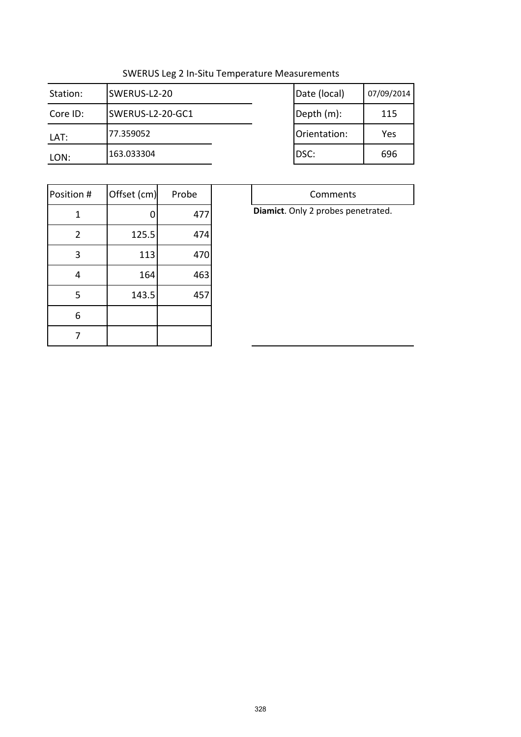| Station: | SWERUS-L2-20     | Date (local) | 07/09/2014 |
|----------|------------------|--------------|------------|
| Core ID: | SWERUS-L2-20-GC1 | Depth (m):   | 115        |
| LAT:     | 77.359052        | Orientation: | Yes        |
| LON:     | 163.033304       | IDSC:        | 696        |

| Date (local) | 07/09/2014 |
|--------------|------------|
| Depth (m):   | 115        |
| Orientation: | Yes        |
| DSC:         | 696        |

| Position #     | Offset (cm) | Probe |
|----------------|-------------|-------|
| 1              | 0           | 477   |
| $\overline{2}$ | 125.5       | 474   |
| 3              | 113         | 470   |
| 4              | 164         | 463   |
| 5              | 143.5       | 457   |
| 6              |             |       |
|                |             |       |

**Diamict**. Only 2 probes penetrated.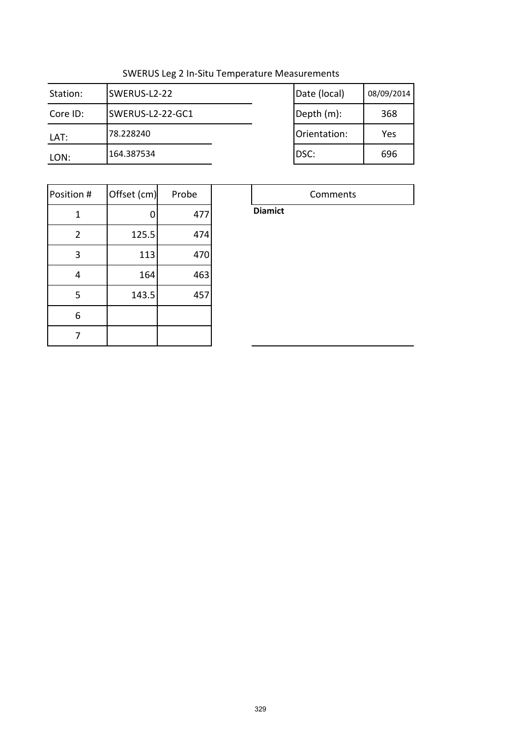| Station: | SWERUS-L2-22     | Date (local) | 08/09/2014 |
|----------|------------------|--------------|------------|
| Core ID: | SWERUS-L2-22-GC1 | Depth (m):   | 368        |
| LAT:     | 78.228240        | Orientation: | Yes        |
| LON:     | 164.387534       | DSC:         | 696        |

| Date (local) | 08/09/2014 |
|--------------|------------|
| Depth (m):   | 368        |
| Orientation: | Yes        |
| DSC:         | 696        |

Comments

| Position #     | Offset (cm) | Probe |
|----------------|-------------|-------|
| 1              | 0           | 477   |
| $\overline{2}$ | 125.5       | 474   |
| 3              | 113         | 470   |
| 4              | 164         | 463   |
| 5              | 143.5       | 457   |
| 6              |             |       |
|                |             |       |

**Diamict**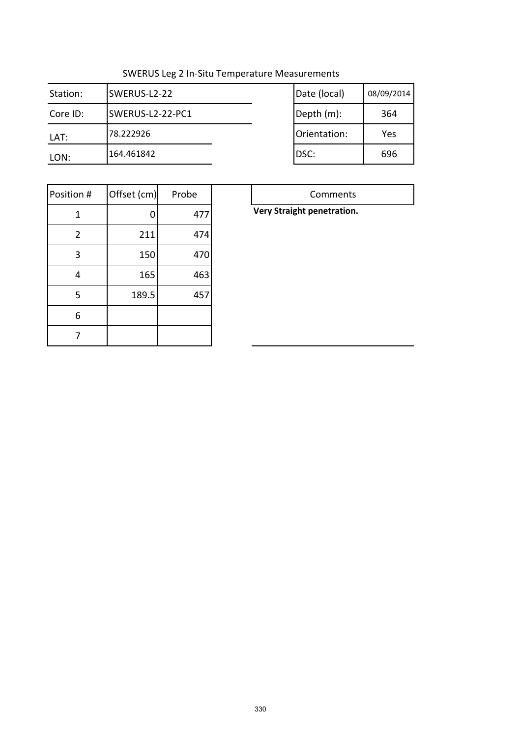| Station: | SWERUS-L2-22     | Date (local) | 08/09/2014 |
|----------|------------------|--------------|------------|
| Core ID: | SWERUS-L2-22-PC1 | Depth (m):   | 364        |
| LAT:     | 78.222926        | Orientation: | Yes        |
| LON:     | 164.461842       | DSC:         | 696        |

| Date (local) | 08/09/2014 |
|--------------|------------|
| Depth (m):   | 364        |
| Orientation: | Yes        |
| DSC:         | 696        |

| Position #     | Offset (cm) | Probe |
|----------------|-------------|-------|
| 1              | 0           | 477   |
| $\overline{2}$ | 211         | 474   |
| 3              | 150         | 470   |
| 4              | 165         | 463   |
| 5              | 189.5       | 457   |
| 6              |             |       |
|                |             |       |

#### **Very Straight penetration.**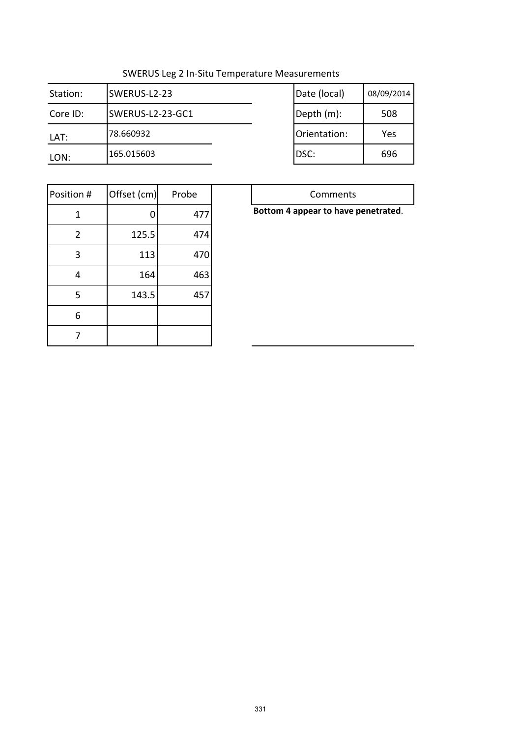| Station: | SWERUS-L2-23     | Date (local) | 08/09/2014 |
|----------|------------------|--------------|------------|
| Core ID: | SWERUS-L2-23-GC1 | Depth (m):   | 508        |
| LAT:     | 78.660932        | Orientation: | Yes        |
| LON:     | 165.015603       | DSC:         | 696        |

| Date (local) | 08/09/2014 |
|--------------|------------|
| Depth (m):   | 508        |
| Orientation: | Yes        |
| DSC:         | 696        |
|              |            |

| Position #     | Offset (cm) | Probe |
|----------------|-------------|-------|
| 1              | 0           | 477   |
| $\overline{2}$ | 125.5       | 474   |
| 3              | 113         | 470   |
| 4              | 164         | 463   |
| 5              | 143.5       | 457   |
| 6              |             |       |
|                |             |       |

|  | Bottom 4 appear to have penetrated. |
|--|-------------------------------------|
|  |                                     |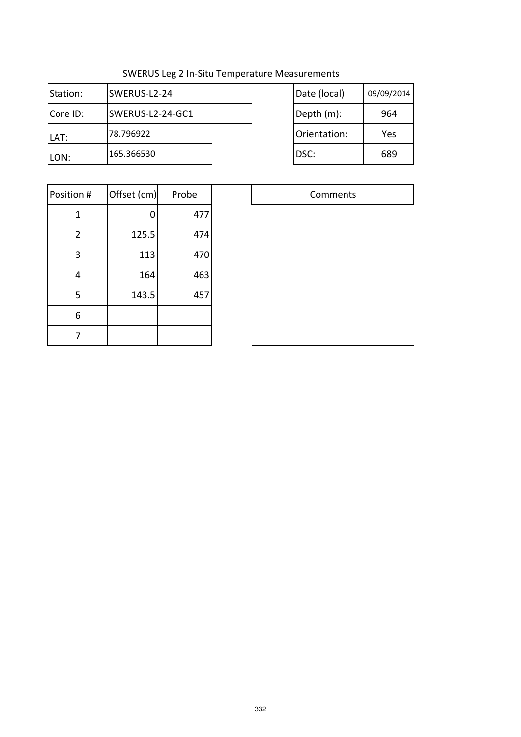| Station: | SWERUS-L2-24     | Date (local) | 09/09/2014 |
|----------|------------------|--------------|------------|
| Core ID: | SWERUS-L2-24-GC1 | Depth (m):   | 964        |
| LAT:     | 78.796922        | Orientation: | Yes        |
| LON:     | 165.366530       | DSC:         | 689        |

| Date (local) | 09/09/2014 |
|--------------|------------|
| Depth (m):   | 964        |
| Orientation: | Yes        |
| DSC:         | 689        |

| Position #     | Offset (cm) | Probe |
|----------------|-------------|-------|
| 1              | 0           | 477   |
| $\overline{2}$ | 125.5       | 474   |
| 3              | 113         | 470   |
| 4              | 164         | 463   |
| 5              | 143.5       | 457   |
| 6              |             |       |
|                |             |       |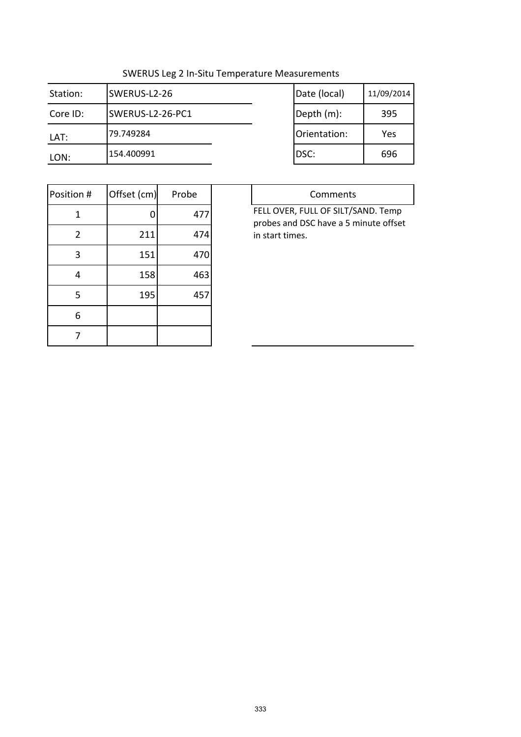| Station: | SWERUS-L2-26     | Date (local) | 11/09/2014 |
|----------|------------------|--------------|------------|
| Core ID: | SWERUS-L2-26-PC1 | Depth (m):   | 395        |
| LAT:     | 79.749284        | Orientation: | Yes        |
| LON:     | 154.400991       | DSC:         | 696        |

| Date (local) | 11/09/2014 |
|--------------|------------|
| Depth (m):   | 395        |
| Orientation: | Yes        |
| DSC:         | 696        |

| Position #     | Offset (cm) | Probe |
|----------------|-------------|-------|
| 1              |             | 477   |
| $\overline{2}$ | 211         | 474   |
| 3              | 151         | 470   |
| 4              | 158         | 463   |
| 5              | 195         | 457   |
| 6              |             |       |
|                |             |       |

| Comments                                                                                       |
|------------------------------------------------------------------------------------------------|
| FELL OVER, FULL OF SILT/SAND. Temp<br>probes and DSC have a 5 minute offset<br>in start times. |
|                                                                                                |
|                                                                                                |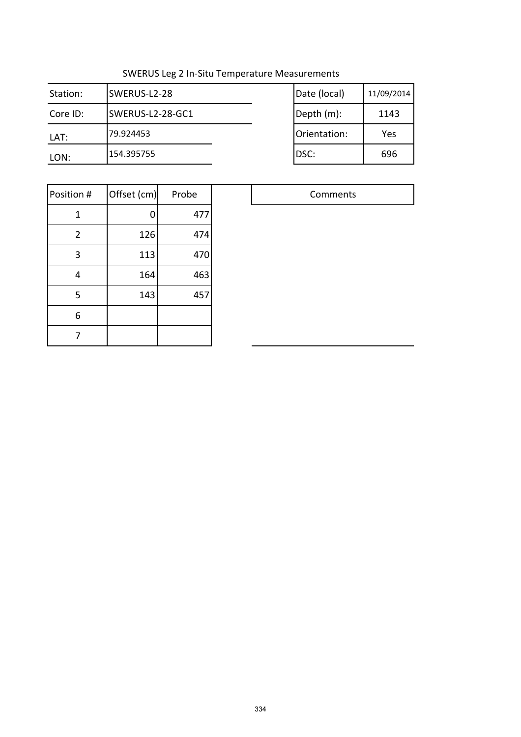| Station: | SWERUS-L2-28     | Date (local) | 11/09/2014 |
|----------|------------------|--------------|------------|
| Core ID: | SWERUS-L2-28-GC1 | Depth (m):   | 1143       |
| LAT:     | 79.924453        | Orientation: | Yes        |
| LON:     | 154.395755       | DSC:         | 696        |

| Date (local) | 11/09/2014 |
|--------------|------------|
| Depth (m):   | 1143       |
| Orientation: | Yes        |
| DSC:         | 696        |

| Position #     | Offset (cm) | Probe |  |
|----------------|-------------|-------|--|
| 1              | O           | 477   |  |
| $\overline{2}$ | 126         | 474   |  |
| 3              | 113         | 470   |  |
| 4              | 164         | 463   |  |
| 5              | 143         | 457   |  |
| 6              |             |       |  |
|                |             |       |  |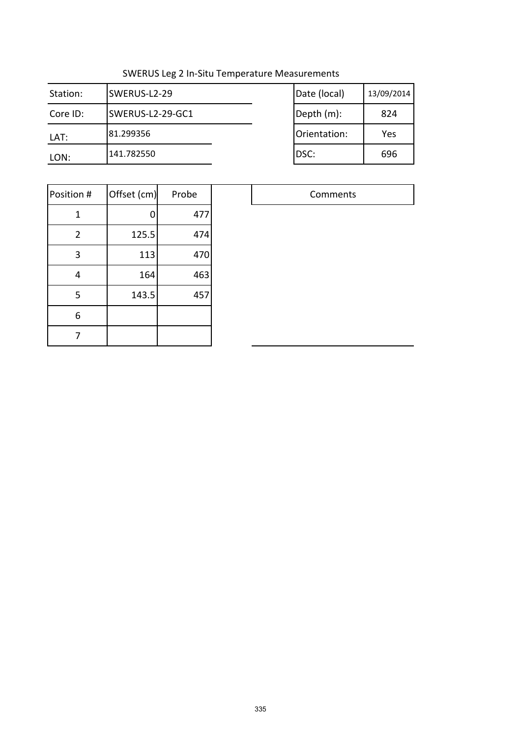| Station: | SWERUS-L2-29     | Date (local) | 13/09/2014 |
|----------|------------------|--------------|------------|
| Core ID: | SWERUS-L2-29-GC1 | Depth (m):   | 824        |
| LAT:     | 81.299356        | Orientation: | Yes        |
| LON:     | 141.782550       | DSC:         | 696        |

| Date (local) | 13/09/2014 |
|--------------|------------|
| Depth (m):   | 824        |
| Orientation: | Yes        |
| DSC:         | 696        |

| Position #     | Offset (cm) | Probe |  |
|----------------|-------------|-------|--|
| 1              | 0           | 477   |  |
| $\overline{2}$ | 125.5       | 474   |  |
| 3              | 113         | 470   |  |
| 4              | 164         | 463   |  |
| 5              | 143.5       | 457   |  |
| 6              |             |       |  |
|                |             |       |  |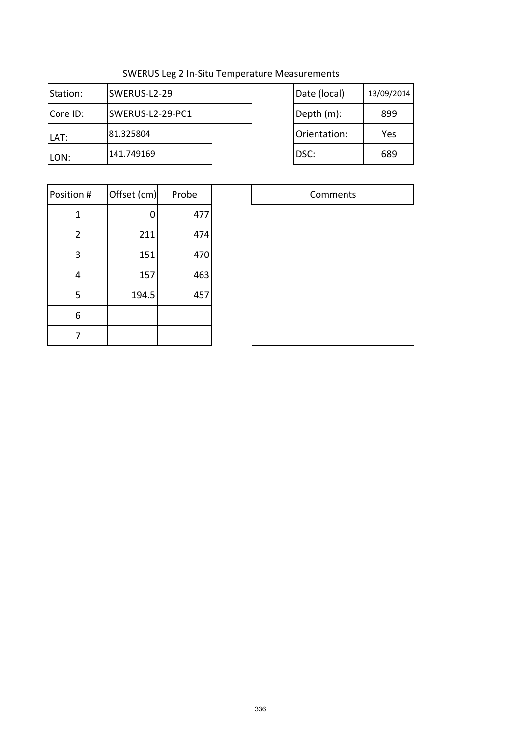| Station: | SWERUS-L2-29     | Date (local) | 13/09/2014 |
|----------|------------------|--------------|------------|
| Core ID: | SWERUS-L2-29-PC1 | Depth (m):   | 899        |
| LAT:     | 81.325804        | Orientation: | Yes        |
| LON:     | 141.749169       | DSC:         | 689        |

| Date (local) | 13/09/2014 |
|--------------|------------|
| Depth (m):   | 899        |
| Orientation: | Yes        |
| DSC:         | 689        |

| Position #     | Offset (cm) | Probe |  |
|----------------|-------------|-------|--|
| 1              | 0           | 477   |  |
| $\overline{2}$ | 211         | 474   |  |
| 3              | 151         | 470   |  |
| 4              | 157         | 463   |  |
| 5              | 194.5       | 457   |  |
| 6              |             |       |  |
|                |             |       |  |

|    | Comments |
|----|----------|
| 7  |          |
| 14 |          |
| 70 |          |
| 53 |          |
| 57 |          |
|    |          |
|    |          |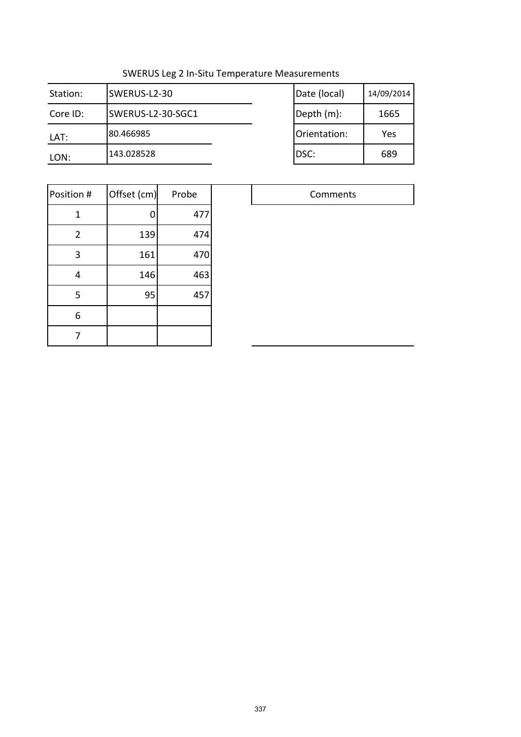| Station: | SWERUS-L2-30      | Date (local) | 14/09/2014 |
|----------|-------------------|--------------|------------|
| Core ID: | SWERUS-L2-30-SGC1 | Depth (m):   | 1665       |
| LAT:     | 80.466985         | Orientation: | Yes        |
| LON:     | 143.028528        | DSC:         | 689        |

| Date (local) | 14/09/2014 |
|--------------|------------|
| Depth (m):   | 1665       |
| Orientation: | Yes        |
| DSC:         | 689        |

| Position #     | Offset (cm) | Probe |  |
|----------------|-------------|-------|--|
| 1              | 0           | 477   |  |
| $\overline{2}$ | 139         | 474   |  |
| 3              | 161         | 470   |  |
| 4              | 146         | 463   |  |
| 5              | 95          | 457   |  |
| 6              |             |       |  |
|                |             |       |  |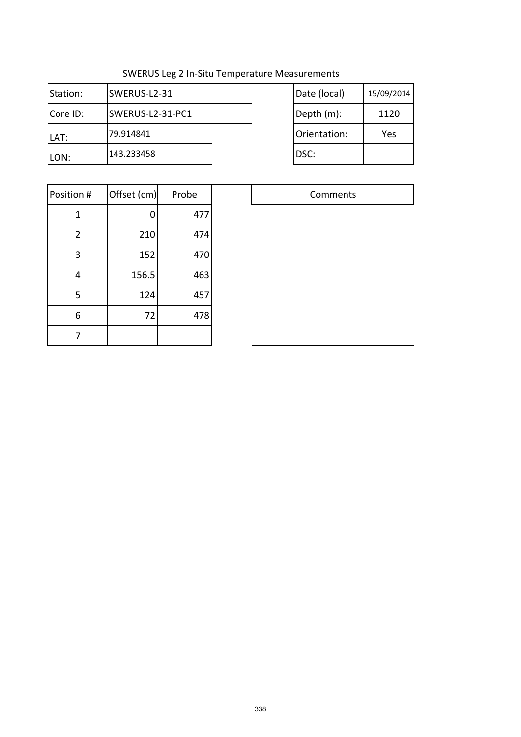| Station: | SWERUS-L2-31     | Date (local) | 15/09/2014 |
|----------|------------------|--------------|------------|
| Core ID: | SWERUS-L2-31-PC1 | Depth (m):   | 1120       |
| LAT:     | 79.914841        | Orientation: | Yes        |
| LON:     | 143.233458       | DSC:         |            |

| Date (local) | 15/09/2014 |
|--------------|------------|
| Depth (m):   | 1120       |
| Orientation: | Yes        |
| DSC:         |            |

| Position #     | Offset (cm) | Probe |  |
|----------------|-------------|-------|--|
| 1              |             | 477   |  |
| $\overline{2}$ | 210         | 474   |  |
| 3              | 152         | 470   |  |
| 4              | 156.5       | 463   |  |
| 5              | 124         | 457   |  |
| 6              | 72          | 478   |  |
|                |             |       |  |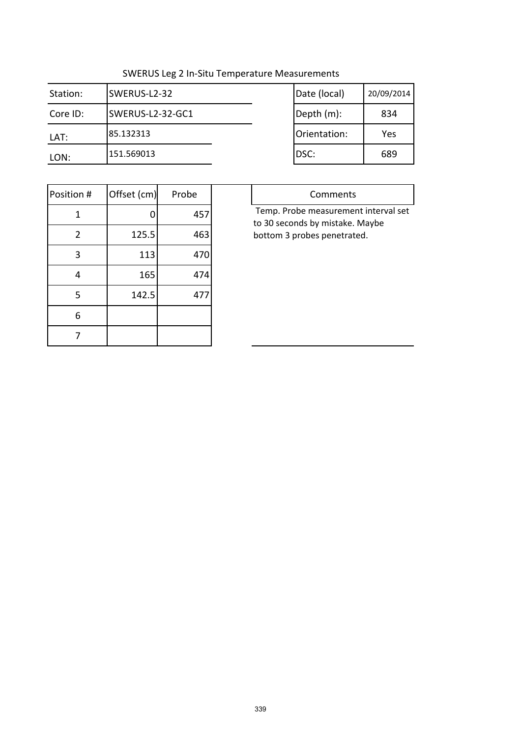| Station: | SWERUS-L2-32     | Date (local) | 20/09/2014 |
|----------|------------------|--------------|------------|
| Core ID: | SWERUS-L2-32-GC1 | Depth (m):   | 834        |
| LAT:     | 85.132313        | Orientation: | Yes        |
| LON:     | '151.569013      | DSC:         | 689        |

| Date (local) | 20/09/2014 |
|--------------|------------|
| Depth (m):   | 834        |
| Orientation: | Yes        |
| DSC:         | 689        |

| Position #     | Offset (cm) | Probe |  |
|----------------|-------------|-------|--|
| 1              | O           | 457   |  |
| $\overline{2}$ | 125.5       | 463   |  |
| 3              | 113         | 470   |  |
| 4              | 165         | 474   |  |
| 5              | 142.5       | 477   |  |
| 6              |             |       |  |
|                |             |       |  |

| Comments                             |
|--------------------------------------|
| Temp. Probe measurement interval set |
| to 30 seconds by mistake. Maybe      |
| bottom 3 probes penetrated.          |
|                                      |
|                                      |
|                                      |
|                                      |
|                                      |
|                                      |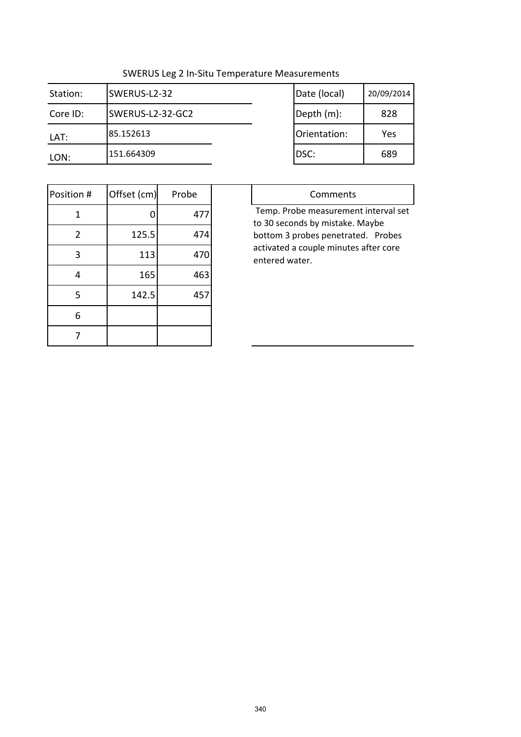| Station: | SWERUS-L2-32     | Date (local) | 20/09/2014 |
|----------|------------------|--------------|------------|
| Core ID: | SWERUS-L2-32-GC2 | Depth (m):   | 828        |
| LAT:     | 185.152613       | Orientation: | Yes        |
| LON:     | 151.664309       | IDSC:        | 689        |

| Date (local) | 20/09/2014 |
|--------------|------------|
| Depth (m):   | 828        |
| Orientation: | Yes        |
| DSC:         | 689        |

| Position #     | Offset (cm) | Probe |
|----------------|-------------|-------|
| 1              |             | 477   |
| $\overline{2}$ | 125.5       | 474   |
| 3              | 113         | 470   |
| 4              | 165         | 463   |
| 5              | 142.5       | 457   |
| 6              |             |       |
|                |             |       |

| Comments                              |
|---------------------------------------|
| Temp. Probe measurement interval set  |
| to 30 seconds by mistake. Maybe       |
| bottom 3 probes penetrated. Probes    |
| activated a couple minutes after core |
| entered water.                        |
|                                       |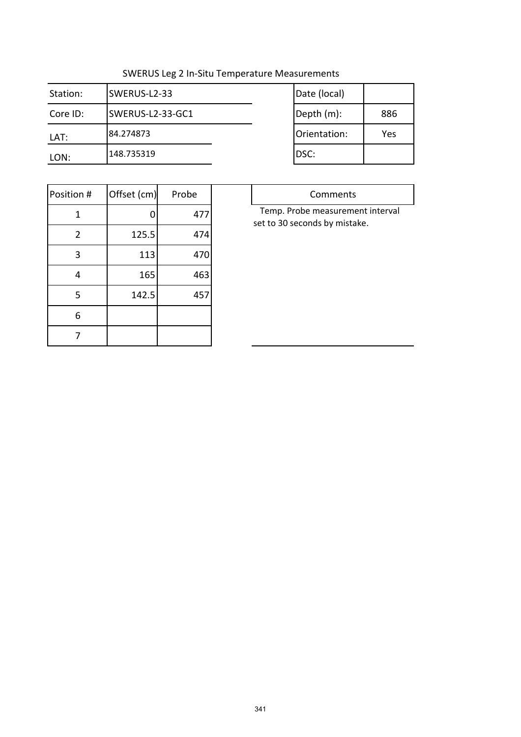| Station: | SWERUS-L2-33     | Date (local) |     |
|----------|------------------|--------------|-----|
| Core ID: | SWERUS-L2-33-GC1 | Depth (m):   | 886 |
| LAT:     | 84.274873        | Orientation: | Yes |
| LON:     | 148.735319       | IDSC:        |     |

| Date (local) |     |
|--------------|-----|
| Depth (m):   | 886 |
| Orientation: | Yes |
| DSC:         |     |

 $\Box$ 

| Position #     | Offset (cm) | Probe |
|----------------|-------------|-------|
| 1              | O           | 477   |
| $\overline{2}$ | 125.5       | 474   |
| 3              | 113         | 470   |
| 4              | 165         | 463   |
| 5              | 142.5       | 457   |
| 6              |             |       |
|                |             |       |

| Comments                         |
|----------------------------------|
| Temp. Probe measurement interval |
| set to 30 seconds by mistake.    |
|                                  |
|                                  |
|                                  |
|                                  |
|                                  |
|                                  |